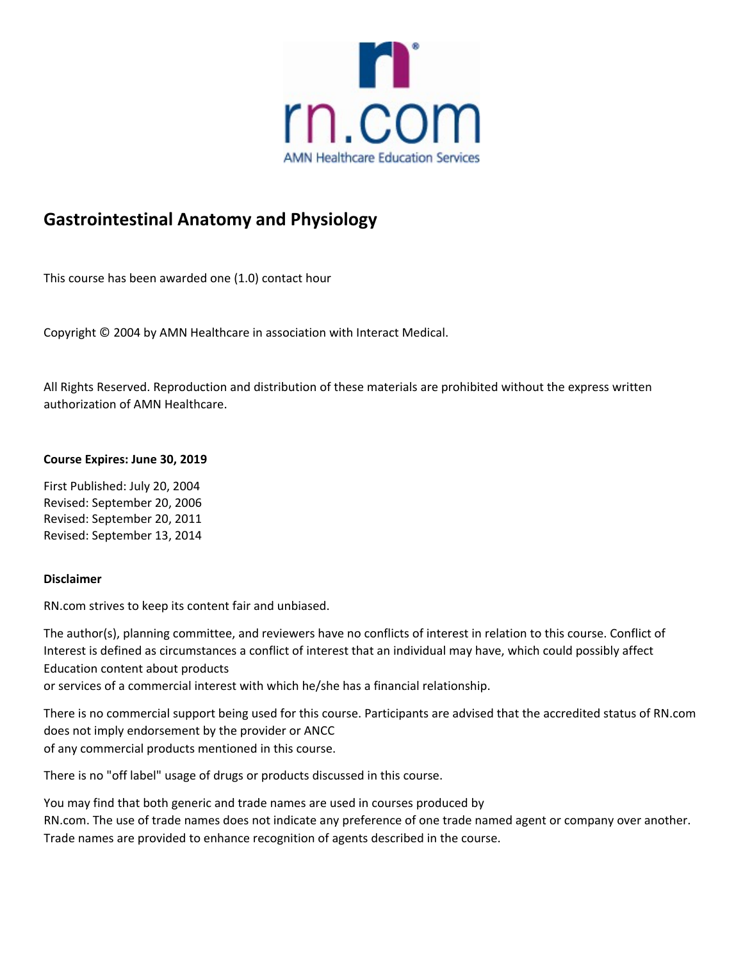

# **Gastrointestinal Anatomy and Physiology**

This course has been awarded one (1.0) contact hour

Copyright © 2004 by AMN Healthcare in association with Interact Medical.

All Rights Reserved. Reproduction and distribution of these materials are prohibited without the express written authorization of AMN Healthcare.

## **Course Expires: June 30, 2019**

First Published: July 20, 2004 Revised: September 20, 2006 Revised: September 20, 2011 Revised: September 13, 2014

## **Disclaimer**

RN.com strives to keep its content fair and unbiased.

The author(s), planning committee, and reviewers have no conflicts of interest in relation to this course. Conflict of Interest is defined as circumstances a conflict of interest that an individual may have, which could possibly affect Education content about products

or services of a commercial interest with which he/she has a financial relationship.

There is no commercial support being used for this course. Participants are advised that the accredited status of RN.com does not imply endorsement by the provider or ANCC of any commercial products mentioned in this course.

There is no "off label" usage of drugs or products discussed in this course.

You may find that both generic and trade names are used in courses produced by RN.com. The use of trade names does not indicate any preference of one trade named agent or company over another. Trade names are provided to enhance recognition of agents described in the course.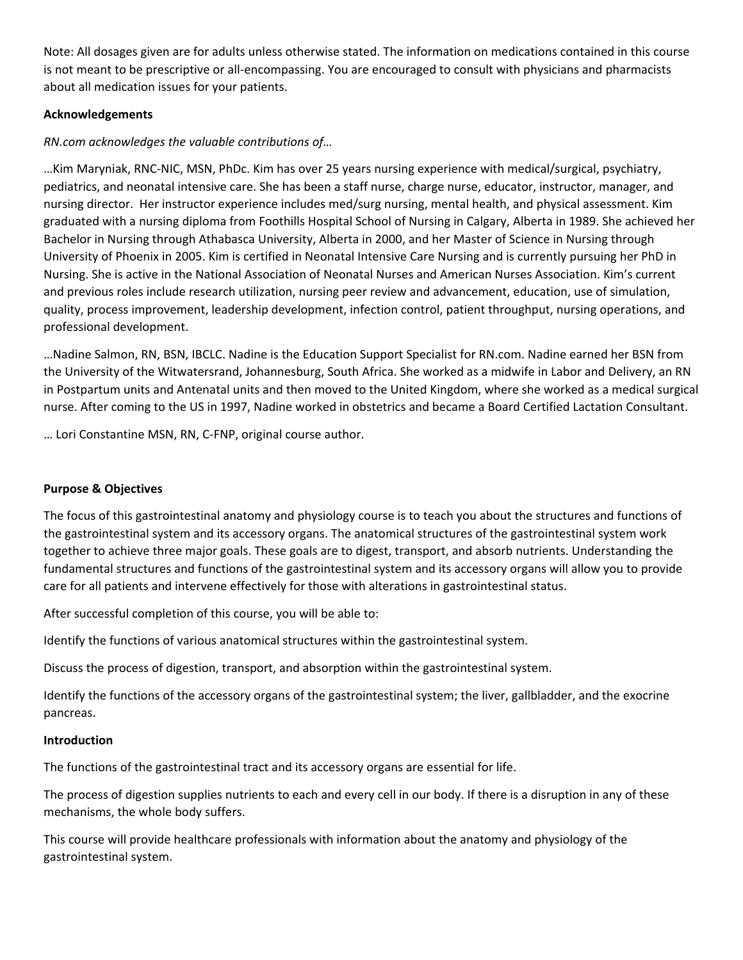Note: All dosages given are for adults unless otherwise stated. The information on medications contained in this course is not meant to be prescriptive or all‐encompassing. You are encouraged to consult with physicians and pharmacists about all medication issues for your patients.

# **Acknowledgements**

# *RN.com acknowledges the valuable contributions of…*

…Kim Maryniak, RNC‐NIC, MSN, PhDc. Kim has over 25 years nursing experience with medical/surgical, psychiatry, pediatrics, and neonatal intensive care. She has been a staff nurse, charge nurse, educator, instructor, manager, and nursing director. Her instructor experience includes med/surg nursing, mental health, and physical assessment. Kim graduated with a nursing diploma from Foothills Hospital School of Nursing in Calgary, Alberta in 1989. She achieved her Bachelor in Nursing through Athabasca University, Alberta in 2000, and her Master of Science in Nursing through University of Phoenix in 2005. Kim is certified in Neonatal Intensive Care Nursing and is currently pursuing her PhD in Nursing. She is active in the National Association of Neonatal Nurses and American Nurses Association. Kim's current and previous roles include research utilization, nursing peer review and advancement, education, use of simulation, quality, process improvement, leadership development, infection control, patient throughput, nursing operations, and professional development.

…Nadine Salmon, RN, BSN, IBCLC. Nadine is the Education Support Specialist for RN.com. Nadine earned her BSN from the University of the Witwatersrand, Johannesburg, South Africa. She worked as a midwife in Labor and Delivery, an RN in Postpartum units and Antenatal units and then moved to the United Kingdom, where she worked as a medical surgical nurse. After coming to the US in 1997, Nadine worked in obstetrics and became a Board Certified Lactation Consultant.

… Lori Constantine MSN, RN, C‐FNP, original course author.

## **Purpose & Objectives**

The focus of this gastrointestinal anatomy and physiology course is to teach you about the structures and functions of the gastrointestinal system and its accessory organs. The anatomical structures of the gastrointestinal system work together to achieve three major goals. These goals are to digest, transport, and absorb nutrients. Understanding the fundamental structures and functions of the gastrointestinal system and its accessory organs will allow you to provide care for all patients and intervene effectively for those with alterations in gastrointestinal status.

After successful completion of this course, you will be able to:

Identify the functions of various anatomical structures within the gastrointestinal system.

Discuss the process of digestion, transport, and absorption within the gastrointestinal system.

Identify the functions of the accessory organs of the gastrointestinal system; the liver, gallbladder, and the exocrine pancreas.

## **Introduction**

The functions of the gastrointestinal tract and its accessory organs are essential for life.

The process of digestion supplies nutrients to each and every cell in our body. If there is a disruption in any of these mechanisms, the whole body suffers.

This course will provide healthcare professionals with information about the anatomy and physiology of the gastrointestinal system.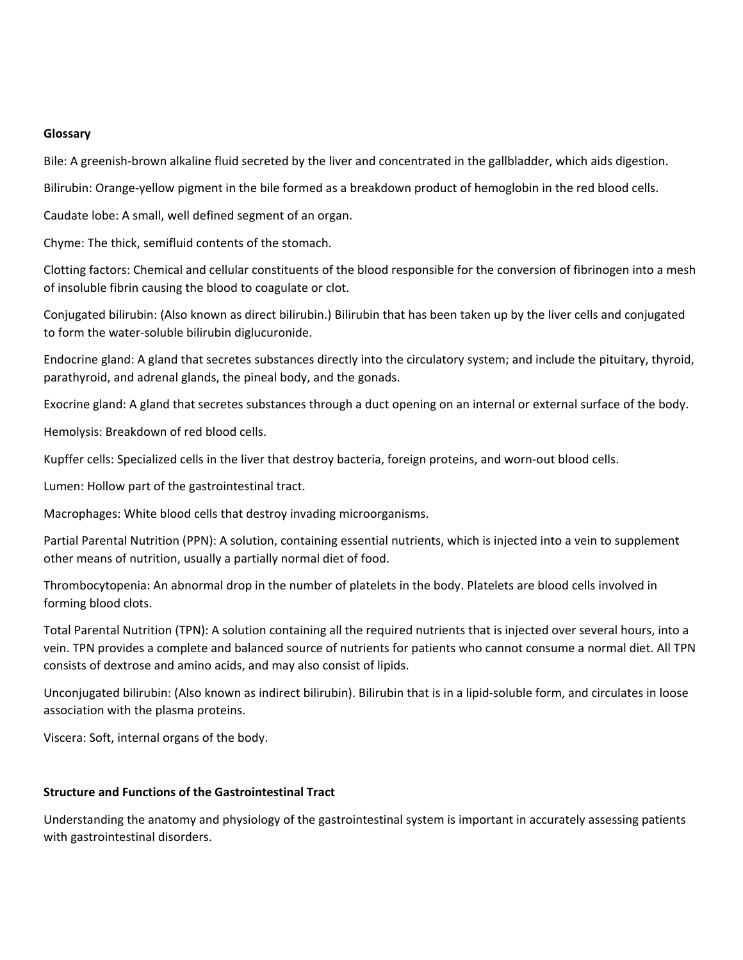#### **Glossary**

Bile: A greenish-brown alkaline fluid secreted by the liver and concentrated in the gallbladder, which aids digestion.

Bilirubin: Orange-yellow pigment in the bile formed as a breakdown product of hemoglobin in the red blood cells.

Caudate lobe: A small, well defined segment of an organ.

Chyme: The thick, semifluid contents of the stomach.

Clotting factors: Chemical and cellular constituents of the blood responsible for the conversion of fibrinogen into a mesh of insoluble fibrin causing the blood to coagulate or clot.

Conjugated bilirubin: (Also known as direct bilirubin.) Bilirubin that has been taken up by the liver cells and conjugated to form the water‐soluble bilirubin diglucuronide.

Endocrine gland: A gland that secretes substances directly into the circulatory system; and include the pituitary, thyroid, parathyroid, and adrenal glands, the pineal body, and the gonads.

Exocrine gland: A gland that secretes substances through a duct opening on an internal or external surface of the body.

Hemolysis: Breakdown of red blood cells.

Kupffer cells: Specialized cells in the liver that destroy bacteria, foreign proteins, and worn-out blood cells.

Lumen: Hollow part of the gastrointestinal tract.

Macrophages: White blood cells that destroy invading microorganisms.

Partial Parental Nutrition (PPN): A solution, containing essential nutrients, which is injected into a vein to supplement other means of nutrition, usually a partially normal diet of food.

Thrombocytopenia: An abnormal drop in the number of platelets in the body. Platelets are blood cells involved in forming blood clots.

Total Parental Nutrition (TPN): A solution containing all the required nutrients that is injected over several hours, into a vein. TPN provides a complete and balanced source of nutrients for patients who cannot consume a normal diet. All TPN consists of dextrose and amino acids, and may also consist of lipids.

Unconjugated bilirubin: (Also known as indirect bilirubin). Bilirubin that is in a lipid‐soluble form, and circulates in loose association with the plasma proteins.

Viscera: Soft, internal organs of the body.

#### **Structure and Functions of the Gastrointestinal Tract**

Understanding the anatomy and physiology of the gastrointestinal system is important in accurately assessing patients with gastrointestinal disorders.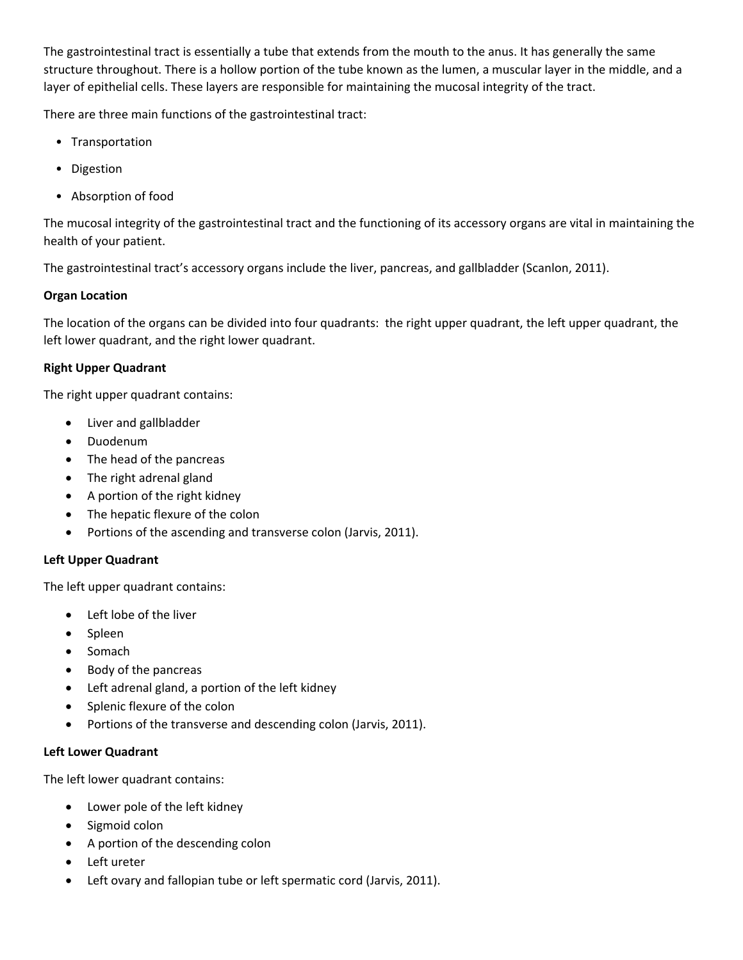The gastrointestinal tract is essentially a tube that extends from the mouth to the anus. It has generally the same structure throughout. There is a hollow portion of the tube known as the lumen, a muscular layer in the middle, and a layer of epithelial cells. These layers are responsible for maintaining the mucosal integrity of the tract.

There are three main functions of the gastrointestinal tract:

- Transportation
- Digestion
- Absorption of food

The mucosal integrity of the gastrointestinal tract and the functioning of its accessory organs are vital in maintaining the health of your patient.

The gastrointestinal tract's accessory organs include the liver, pancreas, and gallbladder (Scanlon, 2011).

# **Organ Location**

The location of the organs can be divided into four quadrants: the right upper quadrant, the left upper quadrant, the left lower quadrant, and the right lower quadrant.

# **Right Upper Quadrant**

The right upper quadrant contains:

- Liver and gallbladder
- Duodenum
- The head of the pancreas
- The right adrenal gland
- A portion of the right kidney
- The hepatic flexure of the colon
- Portions of the ascending and transverse colon (Jarvis, 2011).

## **Left Upper Quadrant**

The left upper quadrant contains:

- Left lobe of the liver
- Spleen
- Somach
- Body of the pancreas
- Left adrenal gland, a portion of the left kidney
- Splenic flexure of the colon
- Portions of the transverse and descending colon (Jarvis, 2011).

## **Left Lower Quadrant**

The left lower quadrant contains:

- Lower pole of the left kidney
- Sigmoid colon
- A portion of the descending colon
- Left ureter
- Left ovary and fallopian tube or left spermatic cord (Jarvis, 2011).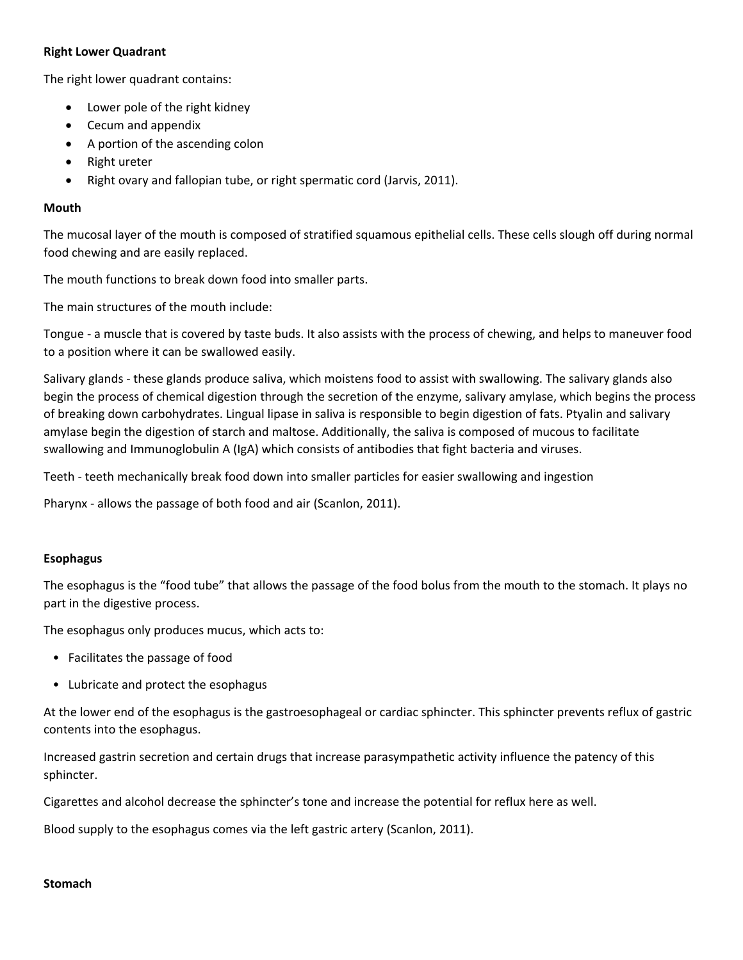## **Right Lower Quadrant**

The right lower quadrant contains:

- Lower pole of the right kidney
- Cecum and appendix
- A portion of the ascending colon
- Right ureter
- Right ovary and fallopian tube, or right spermatic cord (Jarvis, 2011).

#### **Mouth**

The mucosal layer of the mouth is composed of stratified squamous epithelial cells. These cells slough off during normal food chewing and are easily replaced.

The mouth functions to break down food into smaller parts.

The main structures of the mouth include:

Tongue ‐ a muscle that is covered by taste buds. It also assists with the process of chewing, and helps to maneuver food to a position where it can be swallowed easily.

Salivary glands ‐ these glands produce saliva, which moistens food to assist with swallowing. The salivary glands also begin the process of chemical digestion through the secretion of the enzyme, salivary amylase, which begins the process of breaking down carbohydrates. Lingual lipase in saliva is responsible to begin digestion of fats. Ptyalin and salivary amylase begin the digestion of starch and maltose. Additionally, the saliva is composed of mucous to facilitate swallowing and Immunoglobulin A (IgA) which consists of antibodies that fight bacteria and viruses.

Teeth - teeth mechanically break food down into smaller particles for easier swallowing and ingestion

Pharynx ‐ allows the passage of both food and air (Scanlon, 2011).

#### **Esophagus**

The esophagus is the "food tube" that allows the passage of the food bolus from the mouth to the stomach. It plays no part in the digestive process.

The esophagus only produces mucus, which acts to:

- Facilitates the passage of food
- Lubricate and protect the esophagus

At the lower end of the esophagus is the gastroesophageal or cardiac sphincter. This sphincter prevents reflux of gastric contents into the esophagus.

Increased gastrin secretion and certain drugs that increase parasympathetic activity influence the patency of this sphincter.

Cigarettes and alcohol decrease the sphincter's tone and increase the potential for reflux here as well.

Blood supply to the esophagus comes via the left gastric artery (Scanlon, 2011).

#### **Stomach**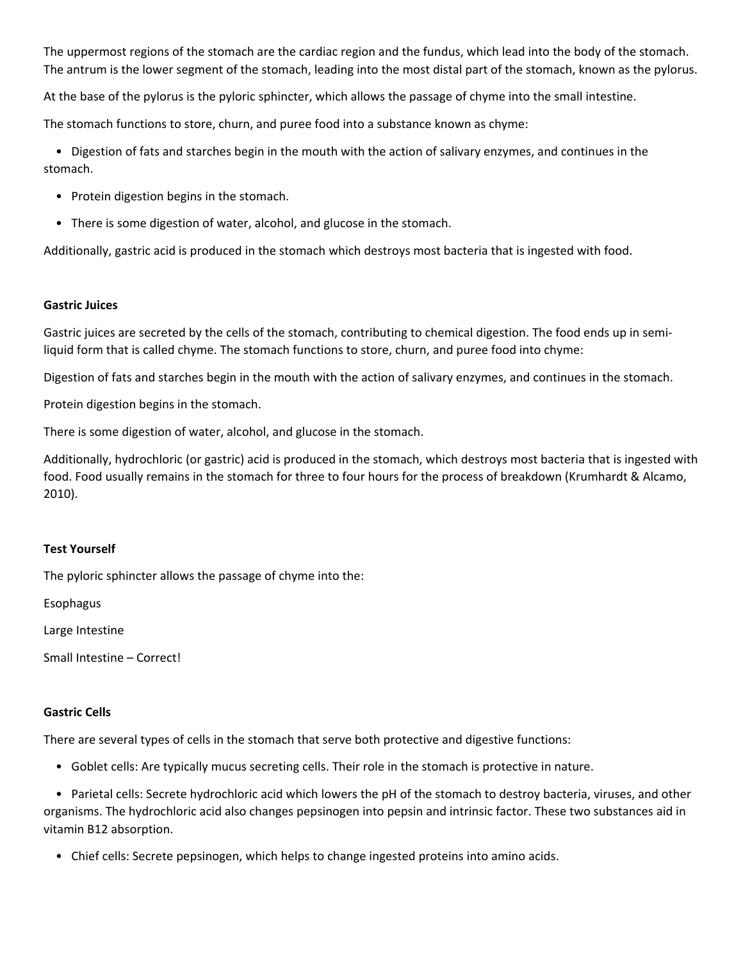The uppermost regions of the stomach are the cardiac region and the fundus, which lead into the body of the stomach. The antrum is the lower segment of the stomach, leading into the most distal part of the stomach, known as the pylorus.

At the base of the pylorus is the pyloric sphincter, which allows the passage of chyme into the small intestine.

The stomach functions to store, churn, and puree food into a substance known as chyme:

 • Digestion of fats and starches begin in the mouth with the action of salivary enzymes, and continues in the stomach.

- Protein digestion begins in the stomach.
- There is some digestion of water, alcohol, and glucose in the stomach.

Additionally, gastric acid is produced in the stomach which destroys most bacteria that is ingested with food.

#### **Gastric Juices**

Gastric juices are secreted by the cells of the stomach, contributing to chemical digestion. The food ends up in semiliquid form that is called chyme. The stomach functions to store, churn, and puree food into chyme:

Digestion of fats and starches begin in the mouth with the action of salivary enzymes, and continues in the stomach.

Protein digestion begins in the stomach.

There is some digestion of water, alcohol, and glucose in the stomach.

Additionally, hydrochloric (or gastric) acid is produced in the stomach, which destroys most bacteria that is ingested with food. Food usually remains in the stomach for three to four hours for the process of breakdown (Krumhardt & Alcamo, 2010).

## **Test Yourself**

The pyloric sphincter allows the passage of chyme into the:

Esophagus

Large Intestine

Small Intestine – Correct!

## **Gastric Cells**

There are several types of cells in the stomach that serve both protective and digestive functions:

• Goblet cells: Are typically mucus secreting cells. Their role in the stomach is protective in nature.

 • Parietal cells: Secrete hydrochloric acid which lowers the pH of the stomach to destroy bacteria, viruses, and other organisms. The hydrochloric acid also changes pepsinogen into pepsin and intrinsic factor. These two substances aid in vitamin B12 absorption.

• Chief cells: Secrete pepsinogen, which helps to change ingested proteins into amino acids.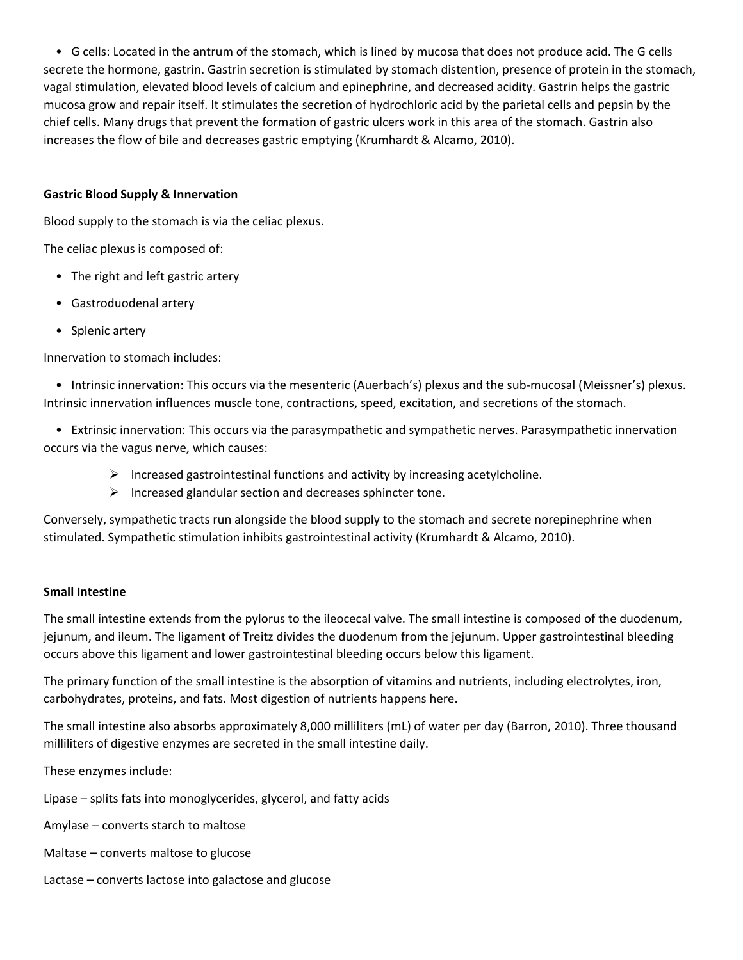• G cells: Located in the antrum of the stomach, which is lined by mucosa that does not produce acid. The G cells secrete the hormone, gastrin. Gastrin secretion is stimulated by stomach distention, presence of protein in the stomach, vagal stimulation, elevated blood levels of calcium and epinephrine, and decreased acidity. Gastrin helps the gastric mucosa grow and repair itself. It stimulates the secretion of hydrochloric acid by the parietal cells and pepsin by the chief cells. Many drugs that prevent the formation of gastric ulcers work in this area of the stomach. Gastrin also increases the flow of bile and decreases gastric emptying (Krumhardt & Alcamo, 2010).

## **Gastric Blood Supply & Innervation**

Blood supply to the stomach is via the celiac plexus.

The celiac plexus is composed of:

- The right and left gastric artery
- Gastroduodenal artery
- Splenic artery

Innervation to stomach includes:

• Intrinsic innervation: This occurs via the mesenteric (Auerbach's) plexus and the sub-mucosal (Meissner's) plexus. Intrinsic innervation influences muscle tone, contractions, speed, excitation, and secretions of the stomach.

 • Extrinsic innervation: This occurs via the parasympathetic and sympathetic nerves. Parasympathetic innervation occurs via the vagus nerve, which causes:

- $\triangleright$  Increased gastrointestinal functions and activity by increasing acetylcholine.
- $\triangleright$  Increased glandular section and decreases sphincter tone.

Conversely, sympathetic tracts run alongside the blood supply to the stomach and secrete norepinephrine when stimulated. Sympathetic stimulation inhibits gastrointestinal activity (Krumhardt & Alcamo, 2010).

## **Small Intestine**

The small intestine extends from the pylorus to the ileocecal valve. The small intestine is composed of the duodenum, jejunum, and ileum. The ligament of Treitz divides the duodenum from the jejunum. Upper gastrointestinal bleeding occurs above this ligament and lower gastrointestinal bleeding occurs below this ligament.

The primary function of the small intestine is the absorption of vitamins and nutrients, including electrolytes, iron, carbohydrates, proteins, and fats. Most digestion of nutrients happens here.

The small intestine also absorbs approximately 8,000 milliliters (mL) of water per day (Barron, 2010). Three thousand milliliters of digestive enzymes are secreted in the small intestine daily.

These enzymes include:

Lipase – splits fats into monoglycerides, glycerol, and fatty acids

Amylase – converts starch to maltose

Maltase – converts maltose to glucose

Lactase – converts lactose into galactose and glucose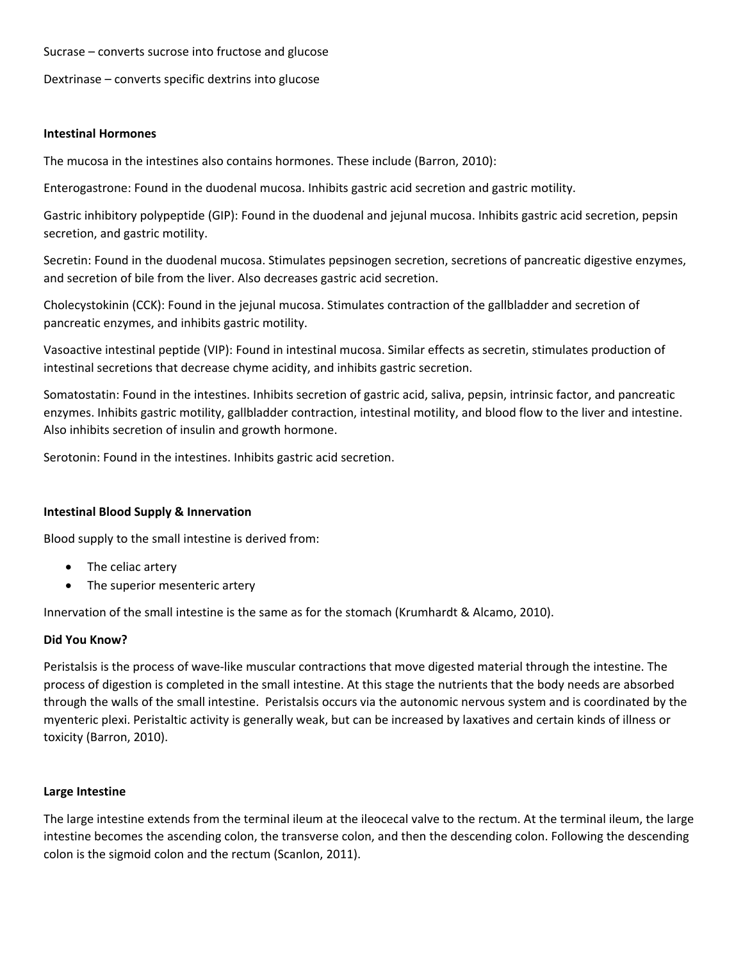Sucrase – converts sucrose into fructose and glucose

Dextrinase – converts specific dextrins into glucose

#### **Intestinal Hormones**

The mucosa in the intestines also contains hormones. These include (Barron, 2010):

Enterogastrone: Found in the duodenal mucosa. Inhibits gastric acid secretion and gastric motility.

Gastric inhibitory polypeptide (GIP): Found in the duodenal and jejunal mucosa. Inhibits gastric acid secretion, pepsin secretion, and gastric motility.

Secretin: Found in the duodenal mucosa. Stimulates pepsinogen secretion, secretions of pancreatic digestive enzymes, and secretion of bile from the liver. Also decreases gastric acid secretion.

Cholecystokinin (CCK): Found in the jejunal mucosa. Stimulates contraction of the gallbladder and secretion of pancreatic enzymes, and inhibits gastric motility.

Vasoactive intestinal peptide (VIP): Found in intestinal mucosa. Similar effects as secretin, stimulates production of intestinal secretions that decrease chyme acidity, and inhibits gastric secretion.

Somatostatin: Found in the intestines. Inhibits secretion of gastric acid, saliva, pepsin, intrinsic factor, and pancreatic enzymes. Inhibits gastric motility, gallbladder contraction, intestinal motility, and blood flow to the liver and intestine. Also inhibits secretion of insulin and growth hormone.

Serotonin: Found in the intestines. Inhibits gastric acid secretion.

## **Intestinal Blood Supply & Innervation**

Blood supply to the small intestine is derived from:

- The celiac artery
- The superior mesenteric artery

Innervation of the small intestine is the same as for the stomach (Krumhardt & Alcamo, 2010).

## **Did You Know?**

Peristalsis is the process of wave‐like muscular contractions that move digested material through the intestine. The process of digestion is completed in the small intestine. At this stage the nutrients that the body needs are absorbed through the walls of the small intestine. Peristalsis occurs via the autonomic nervous system and is coordinated by the myenteric plexi. Peristaltic activity is generally weak, but can be increased by laxatives and certain kinds of illness or toxicity (Barron, 2010).

## **Large Intestine**

The large intestine extends from the terminal ileum at the ileocecal valve to the rectum. At the terminal ileum, the large intestine becomes the ascending colon, the transverse colon, and then the descending colon. Following the descending colon is the sigmoid colon and the rectum (Scanlon, 2011).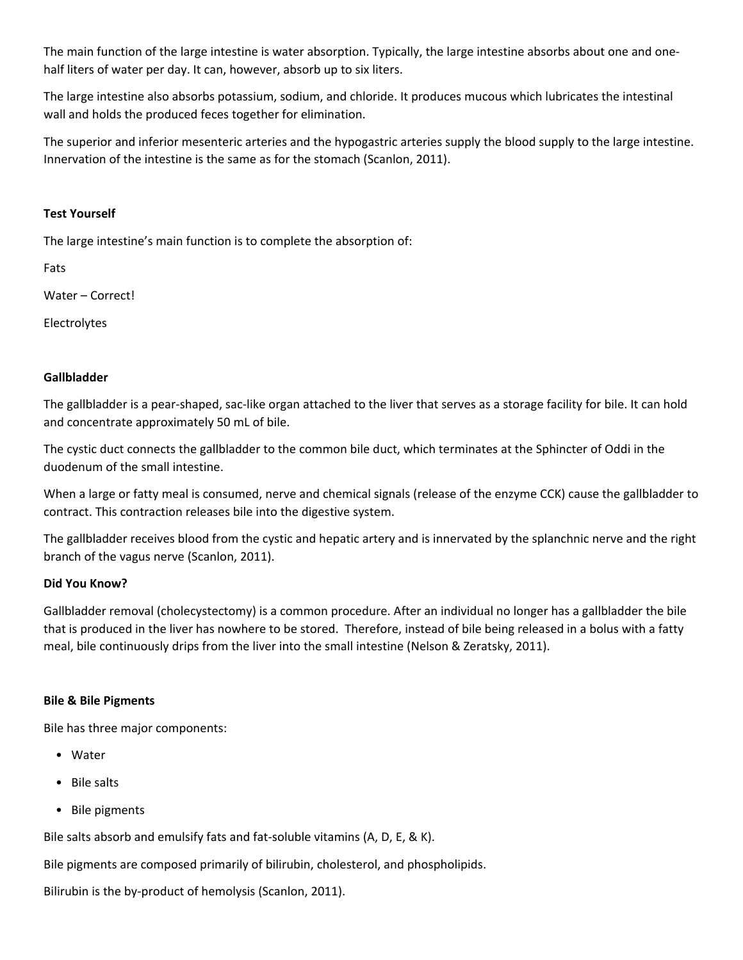The main function of the large intestine is water absorption. Typically, the large intestine absorbs about one and one‐ half liters of water per day. It can, however, absorb up to six liters.

The large intestine also absorbs potassium, sodium, and chloride. It produces mucous which lubricates the intestinal wall and holds the produced feces together for elimination.

The superior and inferior mesenteric arteries and the hypogastric arteries supply the blood supply to the large intestine. Innervation of the intestine is the same as for the stomach (Scanlon, 2011).

## **Test Yourself**

The large intestine's main function is to complete the absorption of:

Fats

Water – Correct!

Electrolytes

#### **Gallbladder**

The gallbladder is a pear‐shaped, sac‐like organ attached to the liver that serves as a storage facility for bile. It can hold and concentrate approximately 50 mL of bile.

The cystic duct connects the gallbladder to the common bile duct, which terminates at the Sphincter of Oddi in the duodenum of the small intestine.

When a large or fatty meal is consumed, nerve and chemical signals (release of the enzyme CCK) cause the gallbladder to contract. This contraction releases bile into the digestive system.

The gallbladder receives blood from the cystic and hepatic artery and is innervated by the splanchnic nerve and the right branch of the vagus nerve (Scanlon, 2011).

## **Did You Know?**

Gallbladder removal (cholecystectomy) is a common procedure. After an individual no longer has a gallbladder the bile that is produced in the liver has nowhere to be stored. Therefore, instead of bile being released in a bolus with a fatty meal, bile continuously drips from the liver into the small intestine (Nelson & Zeratsky, 2011).

## **Bile & Bile Pigments**

Bile has three major components:

- Water
- Bile salts
- Bile pigments

Bile salts absorb and emulsify fats and fat-soluble vitamins (A, D, E, & K).

Bile pigments are composed primarily of bilirubin, cholesterol, and phospholipids.

Bilirubin is the by‐product of hemolysis (Scanlon, 2011).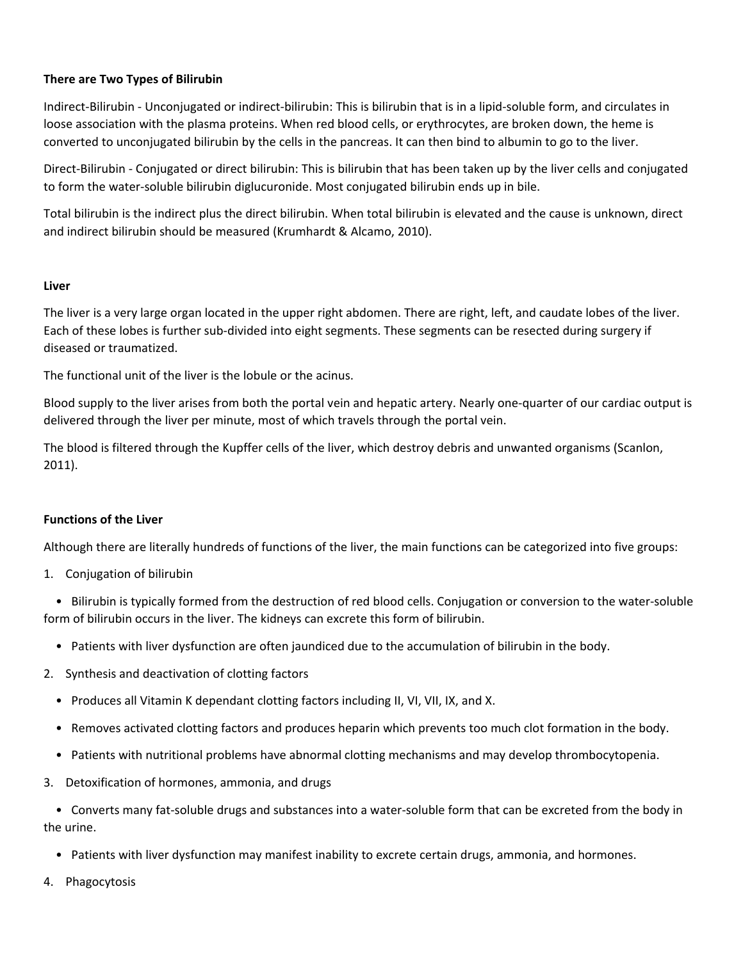# **There are Two Types of Bilirubin**

Indirect‐Bilirubin ‐ Unconjugated or indirect‐bilirubin: This is bilirubin that is in a lipid‐soluble form, and circulates in loose association with the plasma proteins. When red blood cells, or erythrocytes, are broken down, the heme is converted to unconjugated bilirubin by the cells in the pancreas. It can then bind to albumin to go to the liver.

Direct‐Bilirubin ‐ Conjugated or direct bilirubin: This is bilirubin that has been taken up by the liver cells and conjugated to form the water‐soluble bilirubin diglucuronide. Most conjugated bilirubin ends up in bile.

Total bilirubin is the indirect plus the direct bilirubin. When total bilirubin is elevated and the cause is unknown, direct and indirect bilirubin should be measured (Krumhardt & Alcamo, 2010).

## **Liver**

The liver is a very large organ located in the upper right abdomen. There are right, left, and caudate lobes of the liver. Each of these lobes is further sub‐divided into eight segments. These segments can be resected during surgery if diseased or traumatized.

The functional unit of the liver is the lobule or the acinus.

Blood supply to the liver arises from both the portal vein and hepatic artery. Nearly one-quarter of our cardiac output is delivered through the liver per minute, most of which travels through the portal vein.

The blood is filtered through the Kupffer cells of the liver, which destroy debris and unwanted organisms (Scanlon, 2011).

## **Functions of the Liver**

Although there are literally hundreds of functions of the liver, the main functions can be categorized into five groups:

1. Conjugation of bilirubin

 • Bilirubin is typically formed from the destruction of red blood cells. Conjugation or conversion to the water‐soluble form of bilirubin occurs in the liver. The kidneys can excrete this form of bilirubin.

- Patients with liver dysfunction are often jaundiced due to the accumulation of bilirubin in the body.
- 2. Synthesis and deactivation of clotting factors
	- Produces all Vitamin K dependant clotting factors including II, VI, VII, IX, and X.
	- Removes activated clotting factors and produces heparin which prevents too much clot formation in the body.
	- Patients with nutritional problems have abnormal clotting mechanisms and may develop thrombocytopenia.
- 3. Detoxification of hormones, ammonia, and drugs

 • Converts many fat‐soluble drugs and substances into a water‐soluble form that can be excreted from the body in the urine.

- Patients with liver dysfunction may manifest inability to excrete certain drugs, ammonia, and hormones.
- 4. Phagocytosis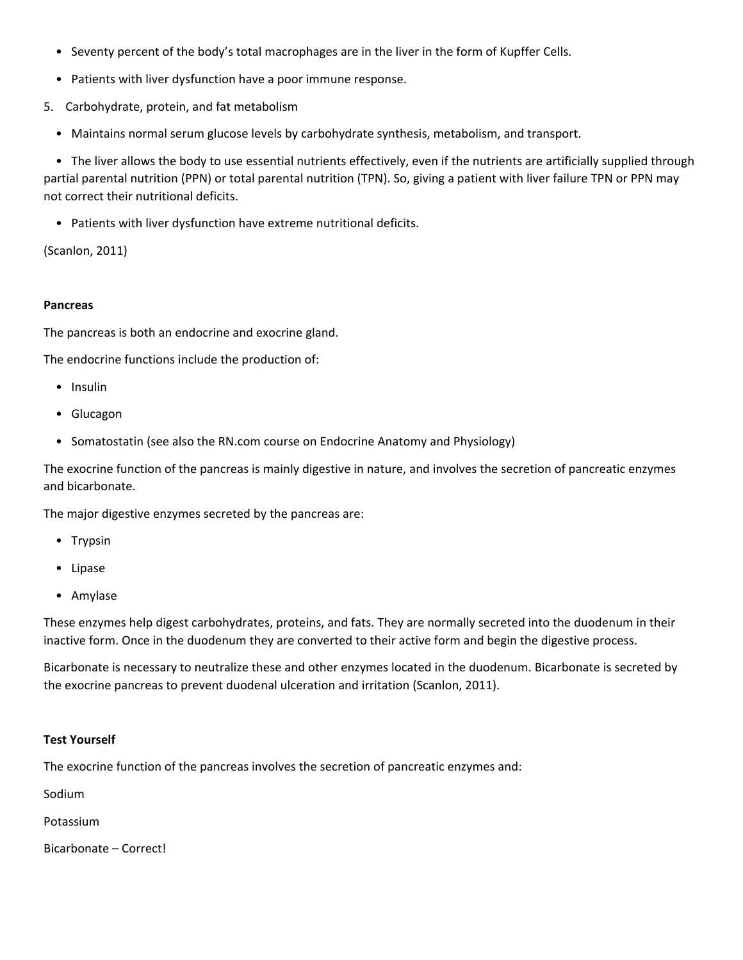- Seventy percent of the body's total macrophages are in the liver in the form of Kupffer Cells.
- Patients with liver dysfunction have a poor immune response.
- 5. Carbohydrate, protein, and fat metabolism
	- Maintains normal serum glucose levels by carbohydrate synthesis, metabolism, and transport.

 • The liver allows the body to use essential nutrients effectively, even if the nutrients are artificially supplied through partial parental nutrition (PPN) or total parental nutrition (TPN). So, giving a patient with liver failure TPN or PPN may not correct their nutritional deficits.

• Patients with liver dysfunction have extreme nutritional deficits.

(Scanlon, 2011)

#### **Pancreas**

The pancreas is both an endocrine and exocrine gland.

The endocrine functions include the production of:

- Insulin
- Glucagon
- Somatostatin (see also the RN.com course on Endocrine Anatomy and Physiology)

The exocrine function of the pancreas is mainly digestive in nature, and involves the secretion of pancreatic enzymes and bicarbonate.

The major digestive enzymes secreted by the pancreas are:

- Trypsin
- Lipase
- Amylase

These enzymes help digest carbohydrates, proteins, and fats. They are normally secreted into the duodenum in their inactive form. Once in the duodenum they are converted to their active form and begin the digestive process.

Bicarbonate is necessary to neutralize these and other enzymes located in the duodenum. Bicarbonate is secreted by the exocrine pancreas to prevent duodenal ulceration and irritation (Scanlon, 2011).

## **Test Yourself**

The exocrine function of the pancreas involves the secretion of pancreatic enzymes and:

Sodium

Potassium

Bicarbonate – Correct!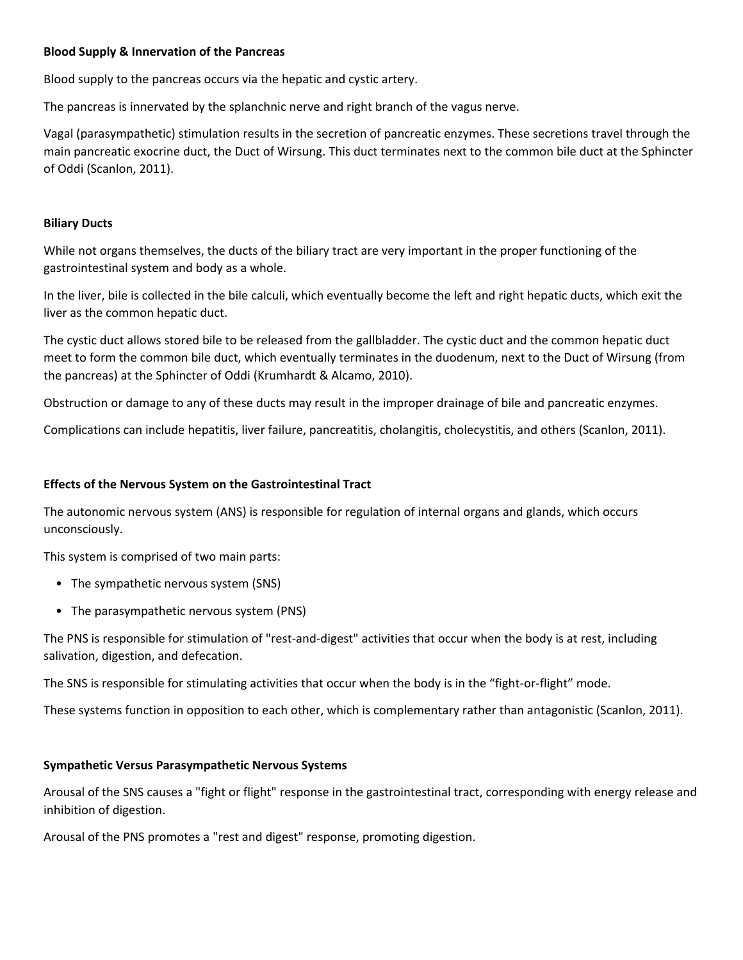## **Blood Supply & Innervation of the Pancreas**

Blood supply to the pancreas occurs via the hepatic and cystic artery.

The pancreas is innervated by the splanchnic nerve and right branch of the vagus nerve.

Vagal (parasympathetic) stimulation results in the secretion of pancreatic enzymes. These secretions travel through the main pancreatic exocrine duct, the Duct of Wirsung. This duct terminates next to the common bile duct at the Sphincter of Oddi (Scanlon, 2011).

#### **Biliary Ducts**

While not organs themselves, the ducts of the biliary tract are very important in the proper functioning of the gastrointestinal system and body as a whole.

In the liver, bile is collected in the bile calculi, which eventually become the left and right hepatic ducts, which exit the liver as the common hepatic duct.

The cystic duct allows stored bile to be released from the gallbladder. The cystic duct and the common hepatic duct meet to form the common bile duct, which eventually terminates in the duodenum, next to the Duct of Wirsung (from the pancreas) at the Sphincter of Oddi (Krumhardt & Alcamo, 2010).

Obstruction or damage to any of these ducts may result in the improper drainage of bile and pancreatic enzymes.

Complications can include hepatitis, liver failure, pancreatitis, cholangitis, cholecystitis, and others (Scanlon, 2011).

#### **Effects of the Nervous System on the Gastrointestinal Tract**

The autonomic nervous system (ANS) is responsible for regulation of internal organs and glands, which occurs unconsciously.

This system is comprised of two main parts:

- The sympathetic nervous system (SNS)
- The parasympathetic nervous system (PNS)

The PNS is responsible for stimulation of "rest-and-digest" activities that occur when the body is at rest, including salivation, digestion, and defecation.

The SNS is responsible for stimulating activities that occur when the body is in the "fight‐or‐flight" mode.

These systems function in opposition to each other, which is complementary rather than antagonistic (Scanlon, 2011).

#### **Sympathetic Versus Parasympathetic Nervous Systems**

Arousal of the SNS causes a "fight or flight" response in the gastrointestinal tract, corresponding with energy release and inhibition of digestion.

Arousal of the PNS promotes a "rest and digest" response, promoting digestion.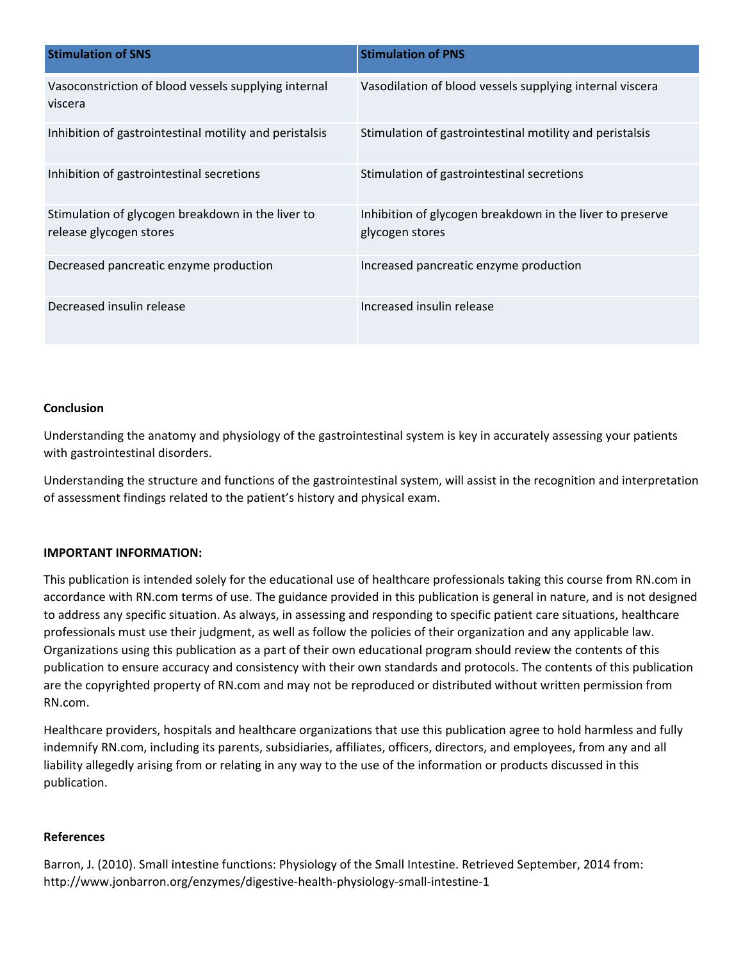| <b>Stimulation of SNS</b>                                                    | <b>Stimulation of PNS</b>                                                    |
|------------------------------------------------------------------------------|------------------------------------------------------------------------------|
| Vasoconstriction of blood vessels supplying internal<br>viscera              | Vasodilation of blood vessels supplying internal viscera                     |
| Inhibition of gastrointestinal motility and peristalsis                      | Stimulation of gastrointestinal motility and peristalsis                     |
| Inhibition of gastrointestinal secretions                                    | Stimulation of gastrointestinal secretions                                   |
| Stimulation of glycogen breakdown in the liver to<br>release glycogen stores | Inhibition of glycogen breakdown in the liver to preserve<br>glycogen stores |
| Decreased pancreatic enzyme production                                       | Increased pancreatic enzyme production                                       |
| Decreased insulin release                                                    | Increased insulin release                                                    |

## **Conclusion**

Understanding the anatomy and physiology of the gastrointestinal system is key in accurately assessing your patients with gastrointestinal disorders.

Understanding the structure and functions of the gastrointestinal system, will assist in the recognition and interpretation of assessment findings related to the patient's history and physical exam.

## **IMPORTANT INFORMATION:**

This publication is intended solely for the educational use of healthcare professionals taking this course from RN.com in accordance with RN.com terms of use. The guidance provided in this publication is general in nature, and is not designed to address any specific situation. As always, in assessing and responding to specific patient care situations, healthcare professionals must use their judgment, as well as follow the policies of their organization and any applicable law. Organizations using this publication as a part of their own educational program should review the contents of this publication to ensure accuracy and consistency with their own standards and protocols. The contents of this publication are the copyrighted property of RN.com and may not be reproduced or distributed without written permission from RN.com.

Healthcare providers, hospitals and healthcare organizations that use this publication agree to hold harmless and fully indemnify RN.com, including its parents, subsidiaries, affiliates, officers, directors, and employees, from any and all liability allegedly arising from or relating in any way to the use of the information or products discussed in this publication.

#### **References**

Barron, J. (2010). Small intestine functions: Physiology of the Small Intestine. Retrieved September, 2014 from: http://www.jonbarron.org/enzymes/digestive‐health‐physiology‐small‐intestine‐1